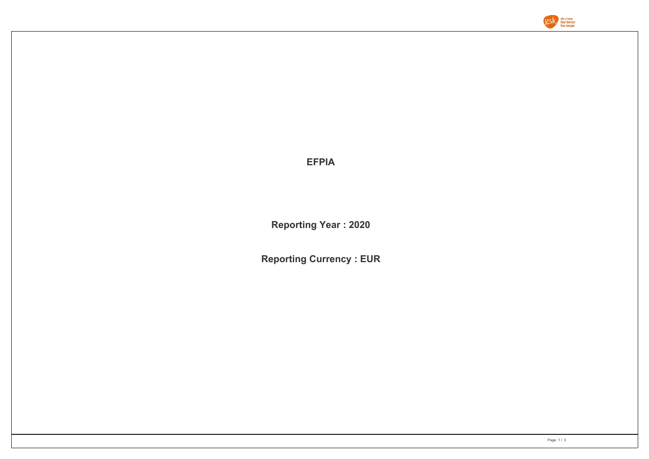

**EFPIA**

**Reporting Year : 2020**

**Reporting Currency : EUR**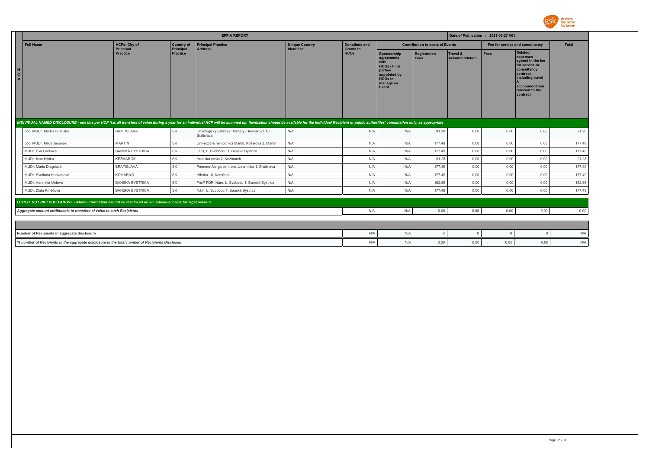

|                                                                        | <b>EFPIA REPORT</b>                                                                                                                                                                                                            |                                   |                              |                                                                   |                                            |                                          |                                                                                                                             |                             | Date of Publication : 2021-06-27 V01 |          |                                                                                                                                                            |        |  |
|------------------------------------------------------------------------|--------------------------------------------------------------------------------------------------------------------------------------------------------------------------------------------------------------------------------|-----------------------------------|------------------------------|-------------------------------------------------------------------|--------------------------------------------|------------------------------------------|-----------------------------------------------------------------------------------------------------------------------------|-----------------------------|--------------------------------------|----------|------------------------------------------------------------------------------------------------------------------------------------------------------------|--------|--|
|                                                                        | <b>Full Name</b>                                                                                                                                                                                                               | <b>HCPs: City of</b><br>Principal | <b>Country of</b>            | <b>Principal Practice</b><br><b>Address</b>                       | <b>Unique Country</b><br><b>Identifier</b> | <b>Donations and</b><br><b>Grants to</b> | <b>Contribution to costs of Events</b>                                                                                      |                             |                                      |          | Fee for service and consultancy                                                                                                                            |        |  |
| C                                                                      |                                                                                                                                                                                                                                | Practice                          | Principal<br><b>Practice</b> |                                                                   |                                            | <b>HCOs</b>                              | Sponsorship<br>agreements<br>with<br><b>HCOs / third</b><br>parties<br>appointed by<br><b>HCOs to</b><br>manage an<br>Event | Registration<br><b>Fees</b> | Travel &<br>Accommodation            | Fees     | Related<br>expenses<br>agreed in the fee<br>for service or<br>consultancy<br>contract,<br>including travel<br>accommodation<br>relevant to the<br>contract |        |  |
|                                                                        | INDIVIDUAL NAMED DISCLOSURE - one line per HCP (i.e. all transfers of value during a year for an individual HCP will be summed up: itemization should be available for the individual Recipient or public authorities' consult |                                   |                              |                                                                   |                                            |                                          |                                                                                                                             |                             |                                      |          |                                                                                                                                                            |        |  |
|                                                                        | doc. MUDr. Martin Hrubiško                                                                                                                                                                                                     | <b>BRATISLAVA</b>                 | SK                           | Onkologický ústav sv. Alžbety, Heydukova 10,<br><b>Bratislava</b> | N/A                                        | N/A                                      | N/A                                                                                                                         | 91.28                       | 0.00                                 | 0.00     | 0.00                                                                                                                                                       | 91.28  |  |
|                                                                        | doc. MUDr. Miloš Jeseňák                                                                                                                                                                                                       | <b>MARTIN</b>                     | SK                           | Univerzitná nemocnica Martin, Kollárova 2, Martin                 | N/A                                        | N/A                                      | N/A                                                                                                                         | 177.49                      | 0.00                                 | 0.00     | 0.00                                                                                                                                                       | 177.49 |  |
|                                                                        | MUDr. Eva Lacková                                                                                                                                                                                                              | <b>BANSKÁ BYSTRICA</b>            | SK                           | FDR, L. Svobbodu 1, Banská Bystrica                               | N/A                                        | N/A                                      | N/A                                                                                                                         | 177.49                      | 0.00                                 | 0.00     | 0.00                                                                                                                                                       | 177.49 |  |
|                                                                        | MUDr. Ivan Hlinka                                                                                                                                                                                                              | <b>KEŽMAROK</b>                   | SK                           | Hradská cesta 2. Kežmarok                                         | N/A                                        | N/A                                      | N/A                                                                                                                         | 91.28                       | 0.00                                 | 0.00     | 0.00                                                                                                                                                       | 91.28  |  |
|                                                                        | MUDr. Mária Drugdová                                                                                                                                                                                                           | <b>BRATISLAVA</b>                 | SK                           | Pneumo-Alergo centrum, Údernícka 1, Bratislava                    | N/A                                        | N/A                                      | N/A                                                                                                                         | 177.49                      | 0.00                                 | 0.00     | 0.00                                                                                                                                                       | 177.49 |  |
|                                                                        | MUDr. Svetlana Hadvabová                                                                                                                                                                                                       | <b>KOMÁRNO</b>                    | SK                           | Hlboká 10. Komárno                                                | N/A                                        | N/A                                      | N/A                                                                                                                         | 177.49                      | 0.00                                 | 0.00     | 0.00                                                                                                                                                       | 177.49 |  |
|                                                                        | MUDr. Veronika Urdová                                                                                                                                                                                                          | <b>BANSKÁ BYSTRICA</b>            | SK                           | FnsP FDR, Nám. L. Svobodu 1, Banská Bystrica                      | N/A                                        | N/A                                      | N/A                                                                                                                         | 162.56                      | 0.00                                 | 0.00     | 0.00                                                                                                                                                       | 162.56 |  |
|                                                                        | MUDr. Zlata Kmečová                                                                                                                                                                                                            | <b>BANSKÁ BYSTRICA</b>            | SK                           | Nám. L. Svobodu 1, Banská Bystrica                                | N/A                                        | N/A                                      | N/A                                                                                                                         | 177.49                      | 0.00                                 | 0.00     | 0.00                                                                                                                                                       | 177.49 |  |
|                                                                        | OTHER, NOT INCLUDED ABOVE - where information cannot be disclosed on an individual basis for legal reasons                                                                                                                     |                                   |                              |                                                                   |                                            |                                          |                                                                                                                             |                             |                                      |          |                                                                                                                                                            |        |  |
| Aggregate amount attributable to transfers of value to such Recipients |                                                                                                                                                                                                                                |                                   |                              | N/A                                                               | N/A                                        | 0.00                                     | 0.00                                                                                                                        | 0.00                        | 0.00                                 | 0.00     |                                                                                                                                                            |        |  |
|                                                                        |                                                                                                                                                                                                                                |                                   |                              |                                                                   |                                            |                                          |                                                                                                                             |                             |                                      |          |                                                                                                                                                            |        |  |
|                                                                        |                                                                                                                                                                                                                                |                                   |                              |                                                                   |                                            |                                          |                                                                                                                             |                             |                                      |          |                                                                                                                                                            |        |  |
|                                                                        | Number of Recipients in aggregate disclosure                                                                                                                                                                                   |                                   |                              |                                                                   | N/A                                        | N/A                                      | $\Omega$                                                                                                                    | $\Omega$                    |                                      | $\Omega$ | N/A                                                                                                                                                        |        |  |
|                                                                        | % number of Recipients in the aggregate disclosure in the total number of Recipients Disclosed                                                                                                                                 |                                   |                              |                                                                   |                                            | N/A                                      | N/A                                                                                                                         | 0.00                        | 0.00                                 | 0.00     | 0.00                                                                                                                                                       | N/A    |  |